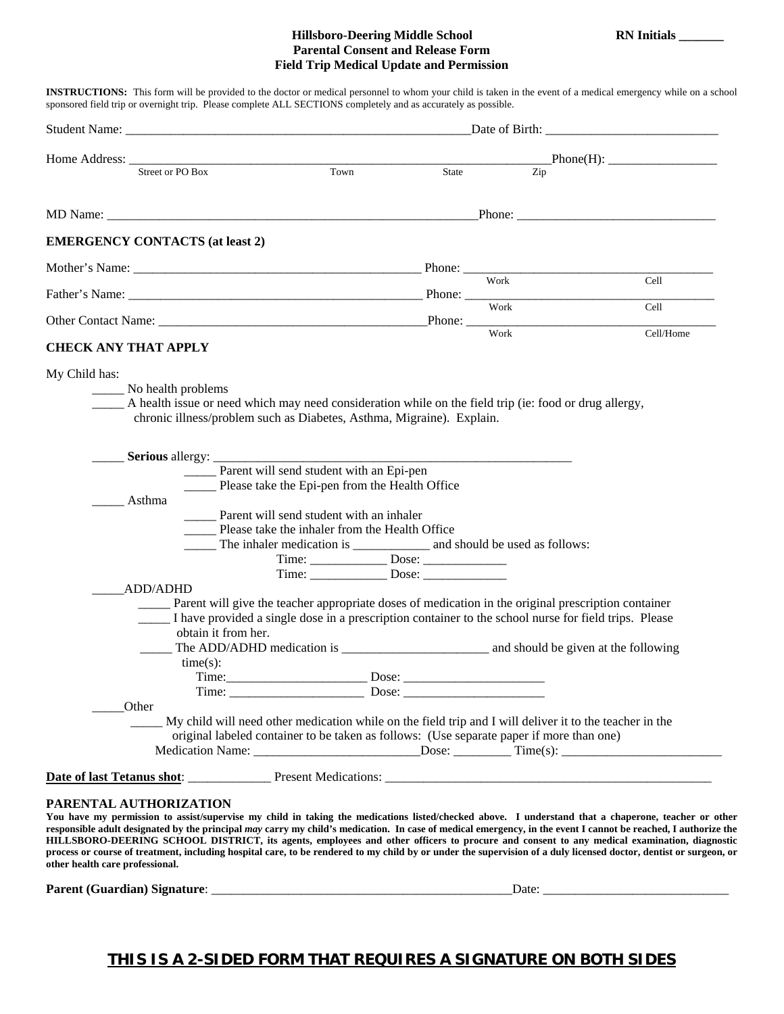## **Hillsboro-Deering Middle School RN Initials \_\_\_\_\_\_\_ Parental Consent and Release Form Field Trip Medical Update and Permission**

**INSTRUCTIONS:** This form will be provided to the doctor or medical personnel to whom your child is taken in the event of a medical emergency while on a school sponsored field trip or overnight trip. Please complete ALL SECTIONS completely and as accurately as possible.

| Home Address: Street or PO Box<br>Town<br>State<br><b>EMERGENCY CONTACTS (at least 2)</b><br><b>CHECK ANY THAT APPLY</b><br>My Child has:<br>No health problems<br>A health issue or need which may need consideration while on the field trip (ie: food or drug allergy,<br>chronic illness/problem such as Diabetes, Asthma, Migraine). Explain.<br><b>Serious</b> allergy:<br>______ Parent will send student with an Epi-pen<br>Please take the Epi-pen from the Health Office<br>Asthma<br>_____ Parent will send student with an inhaler<br>Please take the inhaler from the Health Office<br><b>ADD/ADHD</b><br>Parent will give the teacher appropriate doses of medication in the original prescription container<br>I have provided a single dose in a prescription container to the school nurse for field trips. Please<br>obtain it from her. | $\overline{Zip}$<br>Work | Cell<br>Cell<br>Cell/Home |
|------------------------------------------------------------------------------------------------------------------------------------------------------------------------------------------------------------------------------------------------------------------------------------------------------------------------------------------------------------------------------------------------------------------------------------------------------------------------------------------------------------------------------------------------------------------------------------------------------------------------------------------------------------------------------------------------------------------------------------------------------------------------------------------------------------------------------------------------------------|--------------------------|---------------------------|
|                                                                                                                                                                                                                                                                                                                                                                                                                                                                                                                                                                                                                                                                                                                                                                                                                                                            |                          |                           |
|                                                                                                                                                                                                                                                                                                                                                                                                                                                                                                                                                                                                                                                                                                                                                                                                                                                            |                          |                           |
|                                                                                                                                                                                                                                                                                                                                                                                                                                                                                                                                                                                                                                                                                                                                                                                                                                                            |                          |                           |
|                                                                                                                                                                                                                                                                                                                                                                                                                                                                                                                                                                                                                                                                                                                                                                                                                                                            |                          |                           |
|                                                                                                                                                                                                                                                                                                                                                                                                                                                                                                                                                                                                                                                                                                                                                                                                                                                            |                          |                           |
|                                                                                                                                                                                                                                                                                                                                                                                                                                                                                                                                                                                                                                                                                                                                                                                                                                                            |                          |                           |
|                                                                                                                                                                                                                                                                                                                                                                                                                                                                                                                                                                                                                                                                                                                                                                                                                                                            |                          |                           |
|                                                                                                                                                                                                                                                                                                                                                                                                                                                                                                                                                                                                                                                                                                                                                                                                                                                            |                          |                           |
|                                                                                                                                                                                                                                                                                                                                                                                                                                                                                                                                                                                                                                                                                                                                                                                                                                                            |                          |                           |
|                                                                                                                                                                                                                                                                                                                                                                                                                                                                                                                                                                                                                                                                                                                                                                                                                                                            |                          |                           |
| $time(s)$ :<br>Other<br>My child will need other medication while on the field trip and I will deliver it to the teacher in the<br>original labeled container to be taken as follows: (Use separate paper if more than one)                                                                                                                                                                                                                                                                                                                                                                                                                                                                                                                                                                                                                                |                          |                           |
|                                                                                                                                                                                                                                                                                                                                                                                                                                                                                                                                                                                                                                                                                                                                                                                                                                                            |                          |                           |

**responsible adult designated by the principal** *may* **carry my child's medication. In case of medical emergency, in the event I cannot be reached, I authorize the HILLSBORO-DEERING SCHOOL DISTRICT, its agents, employees and other officers to procure and consent to any medical examination, diagnostic process or course of treatment, including hospital care, to be rendered to my child by or under the supervision of a duly licensed doctor, dentist or surgeon, or other health care professional.** 

**Parent (Guardian) Signature**: \_\_\_\_\_\_\_\_\_\_\_\_\_\_\_\_\_\_\_\_\_\_\_\_\_\_\_\_\_\_\_\_\_\_\_\_\_\_\_\_\_\_\_\_\_\_\_Date: \_\_\_\_\_\_\_\_\_\_\_\_\_\_\_\_\_\_\_\_\_\_\_\_\_\_\_\_\_

## **THIS IS A 2-SIDED FORM THAT REQUIRES A SIGNATURE ON BOTH SIDES**